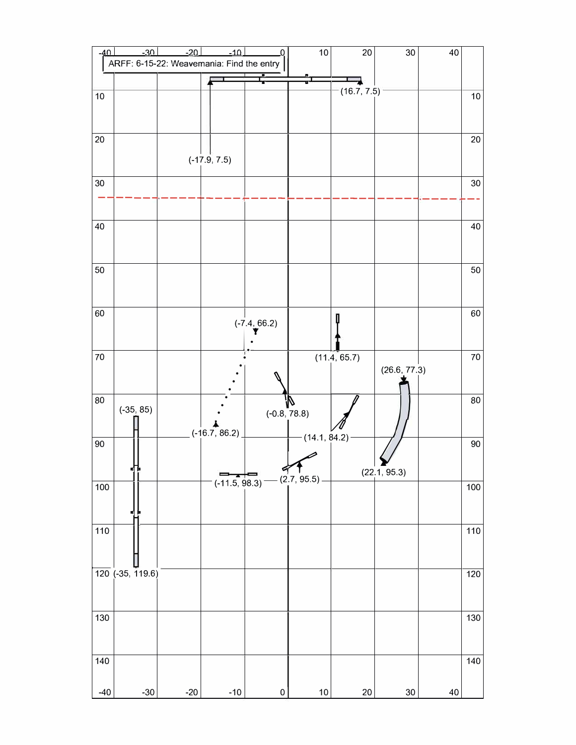| $-40$ | $-30$<br>ARFF: 6-15-22: Weavemania: Find the entry | $-20$ | $-10$           | 0.                               | 10              | 20           | 30                  | 40 |        |
|-------|----------------------------------------------------|-------|-----------------|----------------------------------|-----------------|--------------|---------------------|----|--------|
|       |                                                    |       |                 |                                  |                 |              |                     |    |        |
| 10    |                                                    |       |                 |                                  |                 | (16.7, 7.5)  |                     |    | 10     |
| 20    |                                                    |       |                 |                                  |                 |              |                     |    | 20     |
|       |                                                    |       | $(-17.9, 7.5)$  |                                  |                 |              |                     |    |        |
| 30    |                                                    |       |                 |                                  |                 |              |                     |    | 30     |
| 40    |                                                    |       |                 |                                  |                 |              |                     |    | 40     |
| 50    |                                                    |       |                 |                                  |                 |              |                     |    | 50     |
| 60    |                                                    |       |                 | $(-7.4, 66.2)$                   |                 |              |                     |    | 60     |
| 70    |                                                    |       |                 |                                  |                 | (11.4, 65.7) | (26.6, 77.3)        |    | $70\,$ |
| 80    | $(-35, 85)$                                        |       |                 | $(-0.8, 78.8)$                   | N               |              |                     |    | 80     |
| 90    |                                                    |       | $(-16.7, 86.2)$ |                                  | $-(14.1, 84.2)$ |              | $\sum$ (22.1, 95.3) |    | 90     |
| 100   |                                                    |       |                 | $( -11.5, 98.3)$ $- (2.7, 95.5)$ |                 |              |                     |    | 100    |
| 110   |                                                    |       |                 |                                  |                 |              |                     |    | 110    |
|       | 120 (-35, 119.6)                                   |       |                 |                                  |                 |              |                     |    | 120    |
| 130   |                                                    |       |                 |                                  |                 |              |                     |    | 130    |
| 140   |                                                    |       |                 |                                  |                 |              |                     |    | 140    |
| $-40$ | $-30$                                              | $-20$ | $-10$           | $\pmb{0}$                        | $10$            | 20           | $30\,$              | 40 |        |